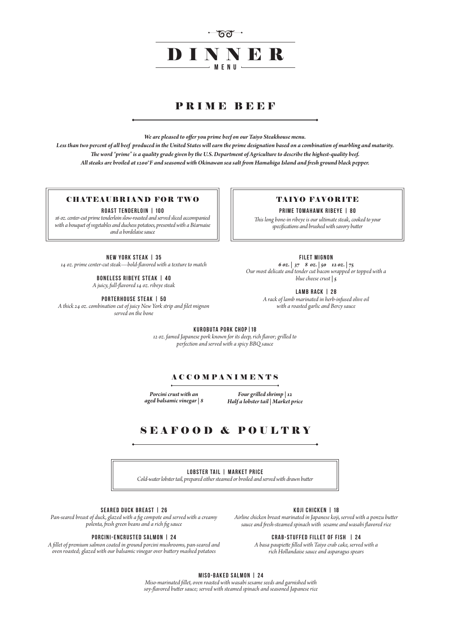

# PRIME BEEF

*We are pleased to offer you prime beef on our Taiyo Steakhouse menu.*

*Less than two percent of all beef produced in the United States will earn the prime designation based on a combination of marbling and maturity. The word "prime" is a quality grade given by the U.S. Department of Agriculture to describe the highest-quality beef. All steaks are broiled at 1200°F and seasoned with Okinawan sea salt from Hamahiga Island and fresh ground black pepper.*

**New York Steak | 35** *14 oz. prime center-cut steak—bold-flavored with a texture to match*

**Boneless Ribeye steak | 40**

*A juicy, full-flavored 14 oz. ribeye steak*

**Porterhouse Steak | 50**

*A thick 24 oz. combination cut of juicy New York strip and filet mignon served on the bone*

## **Filet Mignon**

*6 oz. | 37 8 oz. | 50 12 oz. | 75 Our most delicate and tender cut bacon wrapped or topped with a blue cheese crust | 5*

**Lamb Rack | 28**

*A rack of lamb marinated in herb-infused olive oil with a roasted garlic and Bercy sauce*

*Porcini crust with an aged balsamic vinegar | 8*

*Four grilled shrimp | 12 Half a lobster tail | Market price*

*This long bone-in ribeye is our ultimate steak, cooked to your specifications and brushed with savory butter*

# TAIYO FAVORITE

**PRIME TOMAHAWK RIBEYE | 80** 

*16 oz. center-cut prime tenderloin slow-roasted and served sliced accompanied with a bouquet of vegetables and duchess potatoes, presented with a Béarnaise and a bordelaise sauce*

## CHATEAUBRIAND FOR TWO

**ROAST TENDERLOIN | 100** 

#### **Seared Duck Breast | 26**

*Pan-seared breast of duck, glazed with a fig compote and served with a creamy polenta, fresh green beans and a rich fig sauce*

#### **porcini-enCrusted Salmon | 24**

*A fillet of premium salmon coated in ground porcini mushrooms, pan-seared and oven roasted; glazed with our balsamic vinegar over buttery mashed potatoes* 

## **KOJI CHICKEN | 18**

*Airline chicken breast marinated in Japanese koji, served with a ponzu butter sauce and fresh-steamed spinach with sesame and wasabi flavored rice* 

### **crab-stuffed fillet of fish | 24**

*A basa paupiette filled with Taiyo crab cake, served with a rich Hollandaise sauce and asparagus spears*

**LOBSTER TAIL | market price** *Cold-water lobster tail, prepared either steamed or broiled and served with drawn butter*

# SEAFOOD & POULTRY

## **Kurobuta Pork Chop|18**

*12 oz. famed Japanese pork known for its deep, rich flavor; grilled to perfection and served with a spicy BBQ sauce*

# **ACCOMPANIMENTS**

#### **Miso-Baked Salmon | 24**

*Miso-marinated fillet, oven roasted with wasabi sesame seeds and garnished with soy-flavored butter sauce; served with steamed spinach and seasoned Japanese rice*